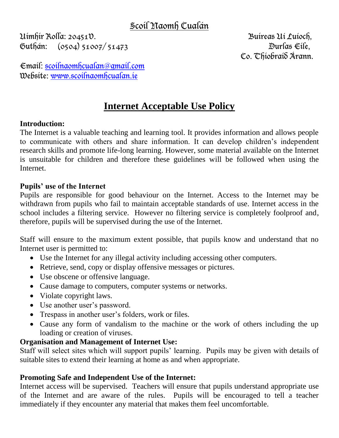# Scoil Naomh Cualán

Uimhir Rolla: 20451V. Buireas Uí Luíoch, Guthán: (0504) 51007/ 51473 Durlas Eile,

Co. Thiobraid Árann.

Email: [scoilnaomhcualan@gmail.com](mailto:scoilnaomhcualan@gmail.com)  Website: [www.scoilnaomhcualan.ie](http://www.scoilnaomhcualan.ie/)

# **Internet Acceptable Use Policy**

#### **Introduction:**

The Internet is a valuable teaching and learning tool. It provides information and allows people to communicate with others and share information. It can develop children's independent research skills and promote life-long learning. However, some material available on the Internet is unsuitable for children and therefore these guidelines will be followed when using the Internet.

#### **Pupils' use of the Internet**

Pupils are responsible for good behaviour on the Internet. Access to the Internet may be withdrawn from pupils who fail to maintain acceptable standards of use. Internet access in the school includes a filtering service. However no filtering service is completely foolproof and, therefore, pupils will be supervised during the use of the Internet.

Staff will ensure to the maximum extent possible, that pupils know and understand that no Internet user is permitted to:

- Use the Internet for any illegal activity including accessing other computers.
- Retrieve, send, copy or display offensive messages or pictures.
- Use obscene or offensive language.
- Cause damage to computers, computer systems or networks.
- Violate copyright laws.
- Use another user's password.
- Trespass in another user's folders, work or files.
- Cause any form of vandalism to the machine or the work of others including the up loading or creation of viruses.

## **Organisation and Management of Internet Use:**

Staff will select sites which will support pupils' learning. Pupils may be given with details of suitable sites to extend their learning at home as and when appropriate.

## **Promoting Safe and Independent Use of the Internet:**

Internet access will be supervised. Teachers will ensure that pupils understand appropriate use of the Internet and are aware of the rules. Pupils will be encouraged to tell a teacher immediately if they encounter any material that makes them feel uncomfortable.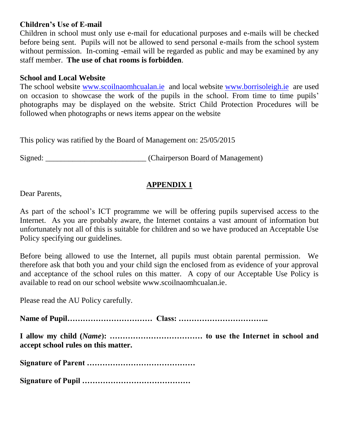#### **Children's Use of E-mail**

Children in school must only use e-mail for educational purposes and e-mails will be checked before being sent. Pupils will not be allowed to send personal e-mails from the school system without permission. In-coming -email will be regarded as public and may be examined by any staff member. **The use of chat rooms is forbidden**.

#### **School and Local Website**

The school website [www.scoilnaomhcualan.ie](http://www.scoilnaomhcualan.ie/) and local website [www.borrisoleigh.ie](http://www.borrisoleigh.ie/) are used on occasion to showcase the work of the pupils in the school. From time to time pupils' photographs may be displayed on the website. Strict Child Protection Procedures will be followed when photographs or news items appear on the website

This policy was ratified by the Board of Management on: 25/05/2015

Signed: Chairperson Board of Management)

# **APPENDIX 1**

Dear Parents,

As part of the school's ICT programme we will be offering pupils supervised access to the Internet. As you are probably aware, the Internet contains a vast amount of information but unfortunately not all of this is suitable for children and so we have produced an Acceptable Use Policy specifying our guidelines.

Before being allowed to use the Internet, all pupils must obtain parental permission. We therefore ask that both you and your child sign the enclosed from as evidence of your approval and acceptance of the school rules on this matter. A copy of our Acceptable Use Policy is available to read on our school website www.scoilnaomhcualan.ie.

Please read the AU Policy carefully.

**Name of Pupil…………………………… Class: ……………………………..**

**I allow my child (***Name***): ……………………………… to use the Internet in school and accept school rules on this matter.** 

**Signature of Parent ……………………………………**

**Signature of Pupil ……………………………………**